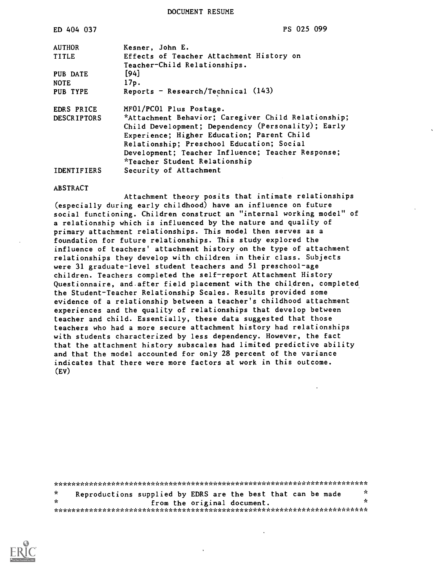DOCUMENT RESUME

| ED 404 037                       | PS 025 099                                                                                                                                                                                                                                                                                                            |
|----------------------------------|-----------------------------------------------------------------------------------------------------------------------------------------------------------------------------------------------------------------------------------------------------------------------------------------------------------------------|
| <b>AUTHOR</b>                    | Kesner, John E.                                                                                                                                                                                                                                                                                                       |
| <b>TITLE</b>                     | Effects of Teacher Attachment History on                                                                                                                                                                                                                                                                              |
| PUB DATE<br><b>NOTE</b>          | Teacher-Child Relationships.<br>$[94]$<br>17p.                                                                                                                                                                                                                                                                        |
| PUB TYPE                         | Reports - Research/Technical $(143)$                                                                                                                                                                                                                                                                                  |
| EDRS PRICE<br><b>DESCRIPTORS</b> | MF01/PC01 Plus Postage.<br>*Attachment Behavior; Caregiver Child Relationship;<br>Child Development; Dependency (Personality); Early<br>Experience; Higher Education; Parent Child<br>Relationship; Preschool Education; Social<br>Development; Teacher Influence; Teacher Response;<br>*Teacher Student Relationship |
| <b>IDENTIFIERS</b>               | Security of Attachment                                                                                                                                                                                                                                                                                                |

#### ABSTRACT

Attachment theory posits that intimate relationships (especially during early childhood) have an influence on future social functioning. Children construct an "internal working model" of a relationship which is influenced by the nature and quality of primary attachment relationships. This model then serves as a foundation for future relationships. This study explored the influence of teachers' attachment history on the type of attachment relationships they develop with children in their class. Subjects were 31 graduate-level student teachers and 51 preschool-age children. Teachers completed the self-report Attachment History Questionnaire, and.after field placement with the children, completed the Student-Teacher Relationship Scales. Results provided some evidence of a relationship between a teacher's childhood attachment experiences and the quality of relationships that develop between teacher and child. Essentially, these data suggested that those teachers who had a more secure attachment history had relationships with students characterized by less dependency. However, the fact that the attachment history subscales had limited predictive ability and that the model accounted for only 28 percent of the variance indicates that there were more factors at work in this outcome. (EV)

\*\*\*\*\*\*\*\*\*\*\*\*\*\*\*\*\*\*\*\*\*\*\*\*\*\*\*\*\*\*\*\*\*\*\*\*\*\*\*\*\*\*\*\*\*\*\*\*\*\*\*\*\*\*\*\*\*\*\*\*\*\*\*\*\*\*\*\*\*\*\* Reproductions supplied by EDRS are the best that can be made  $\frac{x}{x}$  $\star$ from the original document. \*\*\*\*\*\*\*\*\*\*\*\*\*\*\*\*\*\*\*\*\*\*\*\*\*\*\*\*\*\*\*\*\*\*\*\*\*\*\*\*\*\*\*\*\*\*\*\*\*\*\*\*\*\*\*\*\*\*\*\*\*\*\*\*\*\*\*\*\*\*\*

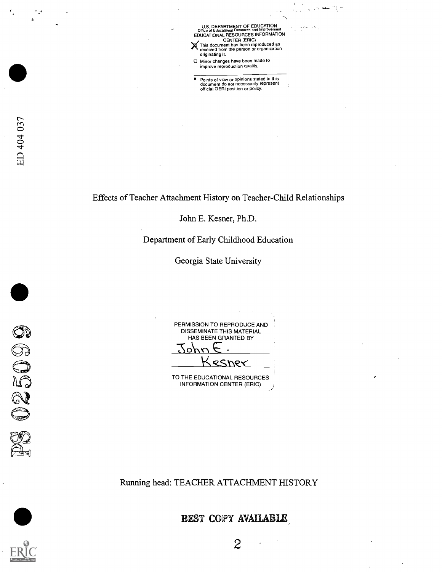U.S. DEPARTMENT OF EDUCATION<br>Office of Educational Research and Improvement<br>EDUCATIONAL RESOURCES INFORMATION CENTER (ERIC) This document has been reproduced as received from the person or organization originating it.

 $\cdot$  .

Minor changes have been made to improve reproduction quality.

Points of view or opinions stated in this document do not necessarily represent official OERI position or policy.

۰,

Effects of Teacher Attachment History on Teacher-Child Relationships

John E. Kesner, Ph.D.

Department of Early Childhood Education

Georgia State University

PERMISSION TO REPRODUCE AND DISSEMINATE THIS MATERIAL HAS BEEN GRANTED BY  $\overline{O}$ <u>esner</u>

TO THE EDUCATIONAL RESOURCES INFORMATION CENTER (ERIC)

Running head: TEACHER ATTACHMENT HISTORY



025099

BEST COPY AVAILABLE,



2

 $\ddot{\phantom{0}}$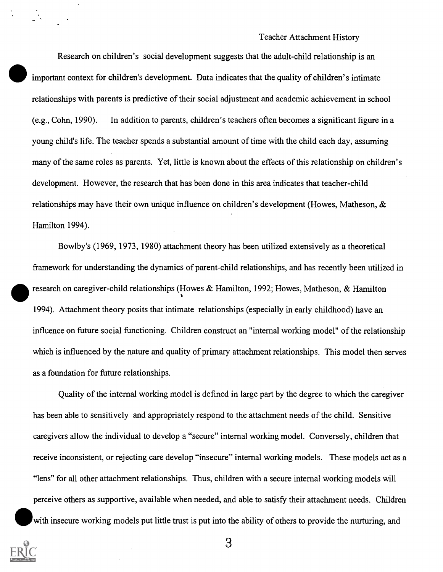#### Teacher Attachment History

Research on children's social development suggests that the adult-child relationship is an important context for children's development. Data indicates that the quality of children's intimate relationships with parents is predictive of their social adjustment and academic achievement in school (e.g., Cohn, 1990). In addition to parents, children's teachers often becomes a significant figure in a young child's life. The teacher spends a substantial amount of time with the child each day, assuming many of the same roles as parents. Yet, little is known about the effects of this relationship on children's development. However, the research that has been done in this area indicates that teacher-child relationships may have their own unique influence on children's development (Howes, Matheson,  $\&$ Hamilton 1994).

Bowlby's (1969, 1973, 1980) attachment theory has been utilized extensively as a theoretical framework for understanding the dynamics of parent-child relationships, and has recently been utilized in research on caregiver-child relationships (Howes & Hamilton, 1992; Howes, Matheson, & Hamilton 1994). Attachment theory posits that intimate relationships (especially in early childhood) have an influence on future social functioning. Children construct an "internal working model" of the relationship which is influenced by the nature and quality of primary attachment relationships. This model then serves as a foundation for future relationships.

Quality of the internal working model is defined in large part by the degree to which the caregiver has been able to sensitively and appropriately respond to the attachment needs of the child. Sensitive caregivers allow the individual to develop a "secure" internal working model. Conversely, children that receive inconsistent, or rejecting care develop "insecure" internal working models. These models act as a "lens" for all other attachment relationships. Thus, children with a secure internal working models will perceive others as supportive, available when needed, and able to satisfy their attachment needs. Children with insecure working models put little trust is put into the ability of others to provide the nurturing, and

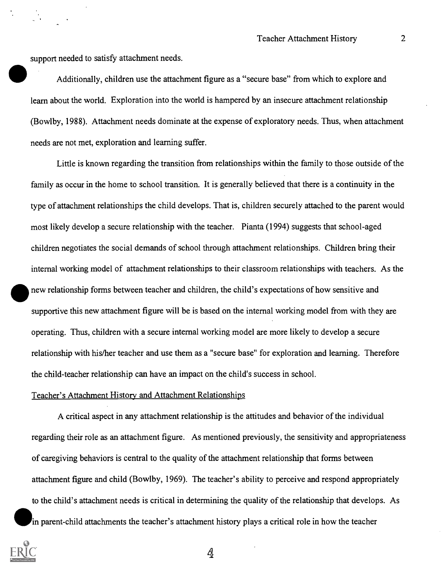support needed to satisfy attachment needs.

Additionally, children use the attachment figure as a "secure base" from which to explore and learn about the world. Exploration into the world is hampered by an insecure attachment relationship (Bowlby, 1988). Attachment needs dominate at the expense of exploratory needs. Thus, when attachment needs are not met, exploration and learning suffer.

Little is known regarding the transition from relationships within the family to those outside of the family as occur in the home to school transition. It is generally believed that there is a continuity in the type of attachment relationships the child develops. That is, children securely attached to the parent would most likely develop a secure relationship with the teacher. Pianta (1994) suggests that school-aged children negotiates the social demands of school through attachment relationships. Children bring their internal working model of attachment relationships to their classroom relationships with teachers. As the new relationship forms between teacher and children, the child's expectations of how sensitive and supportive this new attachment figure will be is based on the internal working model from with they are operating. Thus, children with a secure internal working model are more likely to develop a secure relationship with his/her teacher and use them as a "secure base" for exploration and learning. Therefore the child-teacher relationship can have an impact on the child's success in school.

#### Teacher's Attachment History and Attachment Relationships

A critical aspect in any attachment relationship is the attitudes and behavior of the individual regarding their role as an attachment figure. As mentioned previously, the sensitivity and appropriateness of caregiving behaviors is central to the quality of the attachment relationship that forms between attachment figure and child (Bowlby, 1969). The teacher's ability to perceive and respond appropriately to the child's attachment needs is critical in determining the quality of the relationship that develops. As in<br>in parent-child attachments the teacher's attachment history plays a critical role in how the teacher

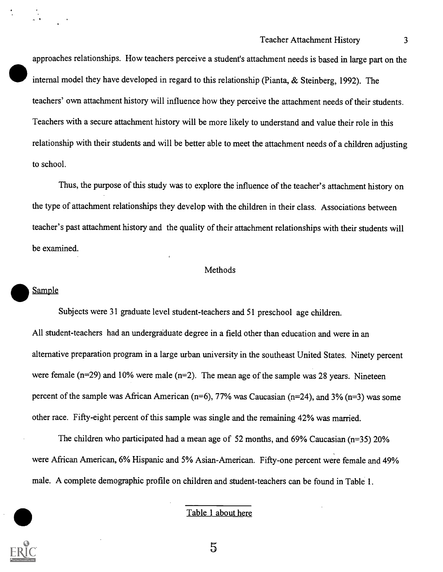approaches relationships. How teachers perceive a student's attachment needs is based in large part on the internal model they have developed in regard to this relationship (Pianta, & Steinberg, 1992). The teachers' own attachment history will influence how they perceive the attachment needs of their students. Teachers with a secure attachment history will be more likely to understand and value their role in this relationship with their students and will be better able to meet the attachment needs of a children adjusting to school.

Thus, the purpose of this study was to explore the influence of the teacher's attachment history on the type of attachment relationships they develop with the children in their class. Associations between teacher's past attachment history and the quality of their attachment relationships with their students will be examined.

## Methods

#### **Sample**

Subjects were 31 graduate level student-teachers and 51 preschool age children. All student-teachers had an undergraduate degree in a field other than education and were in an alternative preparation program in a large urban university in the southeast United States. Ninety percent were female ( $n=29$ ) and 10% were male ( $n=2$ ). The mean age of the sample was 28 years. Nineteen percent of the sample was African American ( $n=6$ ), 77% was Caucasian ( $n=24$ ), and 3% ( $n=3$ ) was some other race. Fifty-eight percent of this sample was single and the remaining 42% was married.

The children who participated had a mean age of 52 months, and 69% Caucasian (n=35) 20% were African American, 6% Hispanic and 5% Asian-American. Fifty-one percent were female and 49% male. A complete demographic profile on children and student-teachers can be found in Table 1.



## Table 1 about here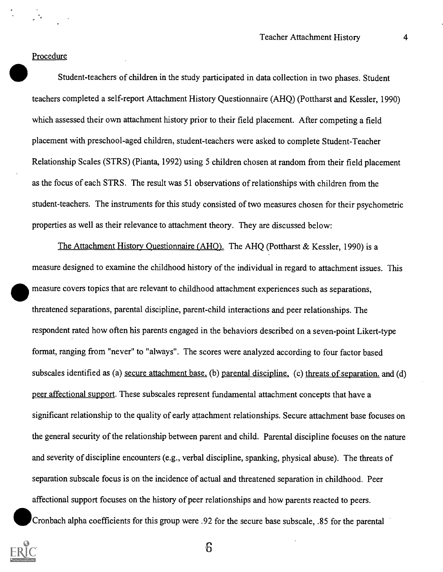### Procedure

 $\sim$   $\sim$ 

Student-teachers of children in the study participated in data collection in two phases. Student teachers completed a self-report Attachment History Questionnaire (AHQ) (Pottharst and Kessler, 1990) which assessed their own attachment history prior to their field placement. After competing a field placement with preschool-aged children, student-teachers were asked to complete Student-Teacher Relationship Scales (STRS) (Pianta, 1992) using 5 children chosen at random from their field placement as the focus of each SIRS. The result was 51 observations of relationships with children from the student-teachers. The instruments for this study consisted of two measures chosen for their psychometric properties as well as their relevance to attachment theory. They are discussed below:

The Attachment History Questionnaire (AHQ). The AHQ (Pottharst & Kessler, 1990) is a measure designed to examine the childhood history of the individual in regard to attachment issues. This measure covers topics that are relevant to childhood attachment experiences such as separations, threatened separations, parental discipline, parent-child interactions and peer relationships. The respondent rated how often his parents engaged in the behaviors described on a seven-point Likert-type format, ranging from "never" to "always". The scores were analyzed according to four factor based subscales identified as (a) secure attachment base. (b) parental discipline. (c) threats of separation, and (d) peer affectional support. These subscales represent fundamental attachment concepts that have a significant relationship to the quality of early attachment relationships. Secure attachment base focuses on the general security of the relationship between parent and child. Parental discipline focuses on the nature and severity of discipline encounters (e.g., verbal discipline, spanking, physical abuse). The threats of separation subscale focus is on the incidence of actual and threatened separation in childhood. Peer affectional support focuses on the history of peer relationships and how parents reacted to peers. Cronbach alpha coefficients for this group were .92 for the secure base subscale, .85 for the parental

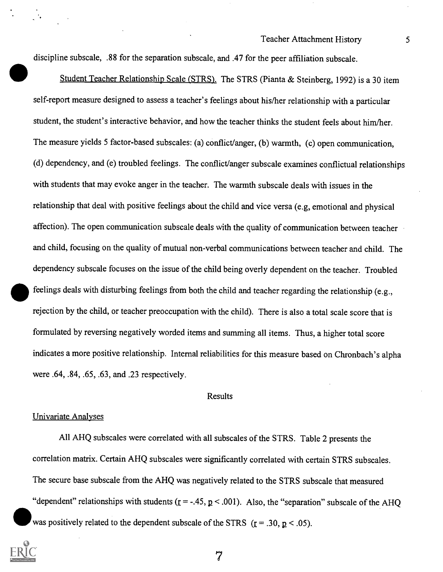discipline subscale, .88 for the separation subscale, and .47 for the peer affiliation subscale.

Student Teacher Relationship Scale (STRS). The STRS (Pianta & Steinberg, 1992) is a 30 item self-report measure designed to assess a teacher's feelings about his/her relationship with a particular student, the student's interactive behavior, and how the teacher thinks the student feels about him/her. The measure yields 5 factor-based subscales: (a) conflict/anger, (b) warmth, (c) open communication, (d) dependency, and (e) troubled feelings. The conflict/anger subscale examines conflictual relationships with students that may evoke anger in the teacher. The warmth subscale deals with issues in the relationship that deal with positive feelings about the child and vice versa (e.g, emotional and physical affection). The open communication subscale deals with the quality of communication between teacher and child, focusing on the quality of mutual non-verbal communications between teacher and child. The dependency subscale focuses on the issue of the child being overly dependent on the teacher. Troubled feelings deals with disturbing feelings from both the child and teacher regarding the relationship (e.g., rejection by the child, or teacher preoccupation with the child). There is also a total scale score that is formulated by reversing negatively worded items and summing all items. Thus, a higher total score indicates a more positive relationship. Internal reliabilities for this measure based on Chronbach's alpha were .64, .84, .65, .63, and .23 respectively.

#### Results

#### Univariate Analyses

All AHQ subscales were correlated with all subscales of the STRS. Table 2 presents the correlation matrix. Certain AHQ subscales were significantly correlated with certain STRS subscales. The secure base subscale from the AHQ was negatively related to the STRS subscale that measured "dependent" relationships with students ( $r = -0.45$ ,  $p < 0.001$ ). Also, the "separation" subscale of the AHQ was positively related to the dependent subscale of the STRS  $(r = .30, p < .05)$ .

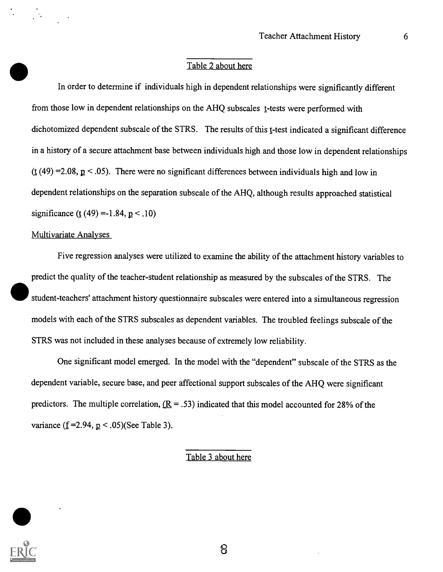## Table 2 about here

In order to determine if individuals high in dependent relationships were significantly different from those low in dependent relationships on the AHQ subscales t-tests were performed with dichotomized dependent subscale of the STRS. The results of this t-test indicated a significant difference in a history of a secure attachment base between individuals high and those low in dependent relationships (t (49) = 2.08,  $p < 0.05$ ). There were no significant differences between individuals high and low in dependent relationships on the separation subscale of the AHQ, although results approached statistical significance (t (49) = -1.84,  $p < .10$ )

## Multivariate Analyses

 $\sim 10^4$ 

Five regression analyses were utilized to examine the ability of the attachment history variables to predict the quality of the teacher-student relationship as measured by the subscales of the STRS. The student-teachers' attachment history questionnaire subscales were entered into a simultaneous regression models with each of the STRS subscales as dependent variables. The troubled feelings subscale of the STRS was not included in these analyses because of extremely low reliability.

One significant model emerged. In the model with the "dependent" subscale of the STRS as the dependent variable, secure base, and peer affectional support subscales of the AHQ were significant predictors. The multiple correlation,  $(R = .53)$  indicated that this model accounted for 28% of the variance (f = 2.94,  $p < .05$ )(See Table 3).

## Table 3 about here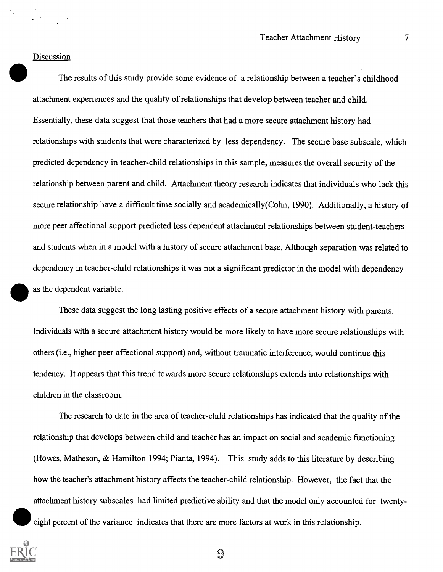#### **Discussion**

The results of this study provide some evidence of a relationship between a teacher's childhood attachment experiences and the quality of relationships that develop between teacher and child. Essentially, these data suggest that those teachers that had a more secure attachment history had relationships with students that were characterized by less dependency. The secure base subscale, which predicted dependency in teacher-child relationships in this sample, measures the overall security of the relationship between parent and child. Attachment theory research indicates that individuals who lack this secure relationship have a difficult time socially and academically(Cohn, 1990). Additionally, a history of more peer affectional support predicted less dependent attachment relationships between student-teachers and students when in a model with a history of secure attachment base. Although separation was related to dependency in teacher-child relationships it was not a significant predictor in the model with dependency as the dependent variable.

These data suggest the long lasting positive effects of a secure attachment history with parents. Individuals with a secure attachment history would be more likely to have more secure relationships with others (i.e., higher peer affectional support) and, without traumatic interference, would continue this tendency. It appears that this trend towards more secure relationships extends into relationships with children in the classroom.

The research to date in the area of teacher-child relationships has indicated that the quality of the relationship that develops between child and teacher has an impact on social and academic functioning (Howes, Matheson, & Hamilton 1994; Pianta, 1994). This study adds to this literature by describing how the teacher's attachment history affects the teacher-child relationship. However, the fact that the attachment history subscales had limited predictive ability and that the model only accounted for twentyeight percent of the variance indicates that there are more factors at work in this relationship.



 $\boldsymbol{\Omega}$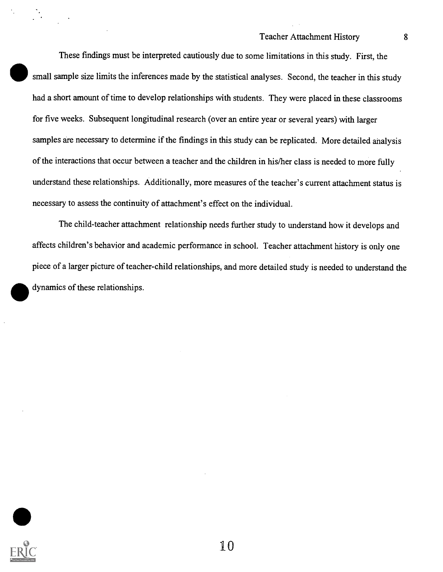## Teacher Attachment History 8

These findings must be interpreted cautiously due to some limitations in this study. First, the small sample size limits the inferences made by the statistical analyses. Second, the teacher in this study had a short amount of time to develop relationships with students. They were placed in these classrooms for five weeks. Subsequent longitudinal research (over an entire year or several years) with larger samples are necessary to determine if the findings in this study can be replicated. More detailed analysis of the interactions that occur between a teacher and the children in his/her class is needed to more fully understand these relationships. Additionally, more measures of the teacher's current attachment status is necessary to assess the continuity of attachment's effect on the individual.

The child-teacher attachment relationship needs further study to understand how it develops and affects children's behavior and academic performance in school. Teacher attachment history is only one piece of a larger picture of teacher-child relationships, and more detailed study is needed to understand the dynamics of these relationships.

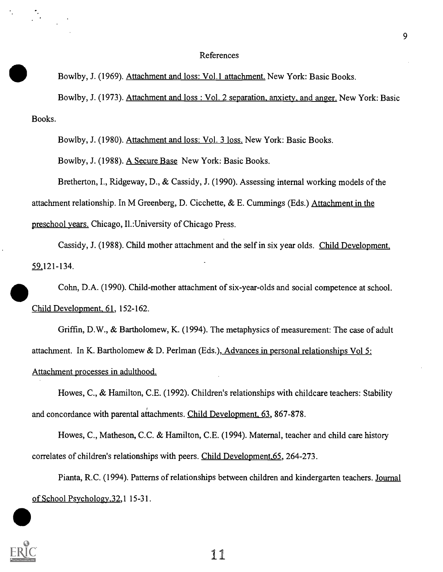#### References

Bowlby, J. (1969). Attachment and loss: Vol. 1 attachment. New York: Basic Books.

Bowlby, J. (1973). Attachment and loss : Vol. 2 separation, anxiety, and anger. New York: Basic Books.

Bowlby, J. (1980). Attachment and loss: Vol. 3 loss. New York: Basic Books.

Bowlby, J. (1988). A Secure Base New York: Basic Books.

Bretherton, I., Ridgeway, D., & Cassidy, J. (1990). Assessing internal working models of the attachment relationship. In M Greenberg, D. Cicchette, & E. Cummings (Eds.) Attachment in the preschool years. Chicago, II.:University of Chicago Press.

Cassidy, J. (1988). Child mother attachment and the self in six year olds. Child Development, 59 121-134.

Cohn, D.A. (1990). Child-mother attachment of six-year-olds and social competence at school. Child Development, 61, 152-162.

Griffin, D.W., & Bartholomew, K. (1994). The metaphysics of measurement: The case of adult attachment. In K. Bartholomew & D. Perlman (Eds.), Advances in personal relationships Vol 5: Attachment processes in adulthood.

Howes, C., & Hamilton, C.E. (1992). Children's relationships with childcare teachers: Stability and concordance with parental attachments. Child Development, 63, 867-878.

Howes, C., Matheson, C.C. & Hamilton, C.E. (1994). Maternal, teacher and child care history correlates of children's relationships with peers. Child Development,65, 264-273.

Pianta, R.C. (1994). Patterns of relationships between children and kindergarten teachers. Journal of School Psychology,32,1 15-31.

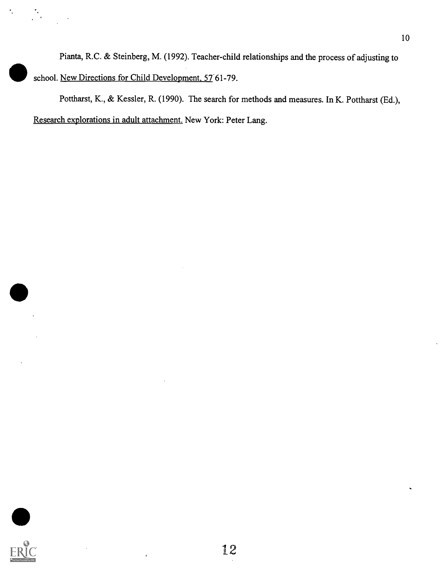Pianta, R.C. & Steinberg, M. (1992). Teacher-child relationships and the process of adjusting to school. New Directions for Child Development, 57 61-79.

Pottharst, K., & Kessler, R. (1990). The search for methods and measures. In K. Pottharst (Ed.), Research explorations in adult attachment. New York: Peter Lang.



۰.

 $\mathcal{D}_{\mathcal{A}}$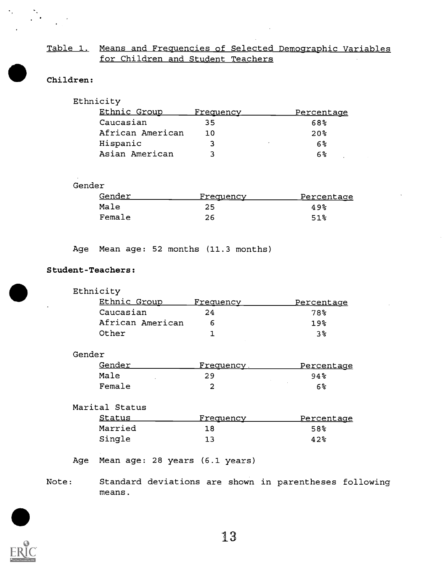## Table 1. Means and Frequencies of Selected Demographic Variables for Children and Student Teachers

## Children:

## Ethnicity

| <u>Ethnic Group</u> | <u>Frequency</u> | <u>Percentage</u> |
|---------------------|------------------|-------------------|
| Caucasian           | 35               | 68%               |
| African American    | 1 ດ              | 20 <sup>2</sup>   |
| Hispanic            |                  | 6%                |
| Asian American      |                  | 6%                |

## Gender

| Gender | Frequency | Percentage |
|--------|-----------|------------|
| Male   | 25        | 49%        |
| Female | 26        | 51%        |

Age Mean age: 52 months (11.3 months)

## Student-Teachers:

| Ethnicity        |           |                   |  |
|------------------|-----------|-------------------|--|
| Ethnic Group     | Frequency | <u>Percentage</u> |  |
| Caucasian        | 24        | 78%               |  |
| African American |           | 19 <sub>8</sub>   |  |
| Other            |           | $3\,$             |  |

### Gender

| Gender | Frequency | <u>Percentage</u> |  |
|--------|-----------|-------------------|--|
| Male   | 29        | 94%               |  |
| Female |           | 6%                |  |

Marital Status

| Status  | Frequency | Percentage |
|---------|-----------|------------|
| Married | 18        | 58%        |
| Single  | 13        | 42%        |

## Age Mean age: 28 years (6.1 years)

Note: Standard deviations are shown in parentheses following means.

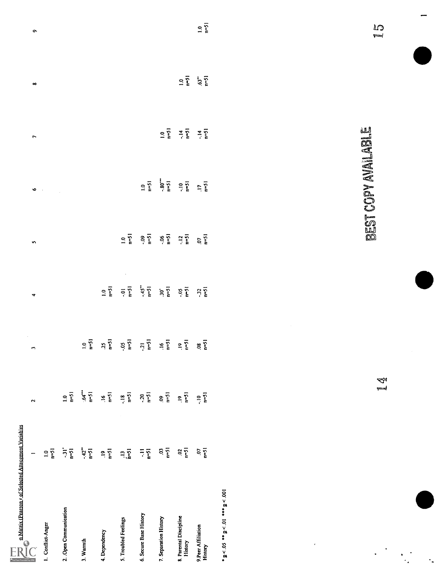| $\begin{array}{c}\n\text{} \\\n\text{Matrix} \text{ (Pansion: of Selected Alexander Variables)}\n\end{array}$ |                                                           |                              |                                        |                               |                 |                              |                                |                                        |                   |
|---------------------------------------------------------------------------------------------------------------|-----------------------------------------------------------|------------------------------|----------------------------------------|-------------------------------|-----------------|------------------------------|--------------------------------|----------------------------------------|-------------------|
|                                                                                                               |                                                           | $\sim$                       | $\epsilon$<br>$\overline{\phantom{a}}$ | $\blacktriangledown$          | $\blacksquare$  | $\bullet -$                  | $\blacktriangleright$          | $\infty$                               | $\bullet$         |
| 1. Conflict-Anger                                                                                             | $\begin{array}{c} \mathbf{-5} \\ \mathbf{-1} \end{array}$ |                              |                                        |                               |                 |                              |                                |                                        |                   |
| 2. Open Communication                                                                                         | $\frac{1}{2} \sum_{i=1}^{n}$                              | $\overline{\mathbb{S}}$ is   |                                        |                               |                 | $\sim 10$                    |                                |                                        |                   |
| 3. Warmth                                                                                                     | $+42$<br>$-51$                                            | $5 - 2$                      | $1.0$<br>$n=51$                        |                               |                 |                              |                                |                                        |                   |
| 4. Dependency                                                                                                 | $\overset{\mathbf{9}}{=}\widetilde{\mathbf{1}}$           | $\frac{16}{15}$              | $\frac{25}{n-51}$                      | $1.9 - 51$                    |                 |                              |                                |                                        |                   |
| 5. Troubled Feelings                                                                                          | $\sim$<br>$\mathbb{H}_{\mathbb{Z}}^3$                     | $\frac{18}{1}$               | $-0.5$<br>n=51                         | $\lambda$<br>៊ុ $\frac{1}{2}$ | $\frac{10}{15}$ |                              |                                |                                        |                   |
| 6. Secure Base History                                                                                        | $\overline{\vec{z}}$                                      | $-20$<br>n=51                | $\frac{21}{n=5}$                       | $45"$<br>n=51                 | $-51$           | $1.0$ n=51                   |                                |                                        |                   |
| 7. Separation History                                                                                         | ី ត្ន                                                     | $rac{5}{15}$                 | $\frac{16}{15}$                        | $30^{\circ}$                  | $-51$           | $-80$<br>$15-11$             | $\frac{1}{2}$ or $\frac{1}{2}$ |                                        |                   |
| 8. Parental Discipline<br>History                                                                             | $\frac{5}{2}$                                             | $\frac{1}{2} \sum_{i=1}^{n}$ | $\frac{1}{2}$                          | $\frac{3}{2}$                 | $\frac{12}{15}$ | $\frac{1}{2} \sum_{i=1}^{n}$ | $\frac{4}{15}$                 | $\frac{\circ}{\cdot} \vec{\mathbf{h}}$ |                   |
| 9.Peer Affiliation<br>History                                                                                 | $\frac{5}{10}$                                            | $\frac{10}{15}$              | $rac{8}{1}$                            | $\frac{32}{15}$               | $\frac{5}{10}$  | $\frac{17}{15}$              | $\frac{1}{2}$                  | 63"                                    | $\frac{1}{n}$ 0.1 |
| $\epsilon$<br>$\mathcal{L}^{(1)}$ .<br>$\frac{1}{2}$                                                          |                                                           | Ą<br>$\leftarrow$            | $\sim$<br>$\sim$                       |                               |                 | BEST COPY AVAILABLE          |                                |                                        | $\vec{5}$         |
|                                                                                                               |                                                           |                              |                                        |                               |                 |                              |                                |                                        |                   |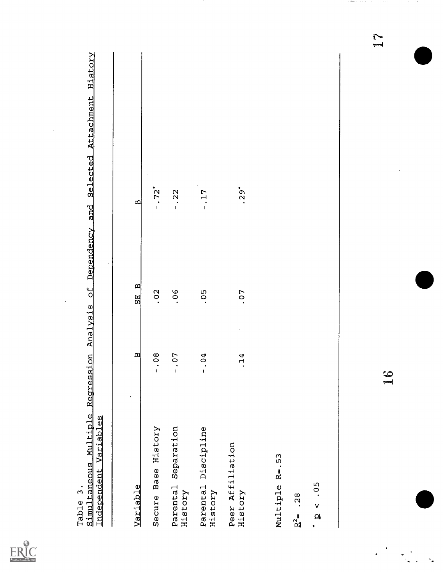| $\ddot{\phantom{a}}$              | $\hat{\mathbf{v}}$           |                   |                      |                       |
|-----------------------------------|------------------------------|-------------------|----------------------|-----------------------|
| Variable                          | $\mathbf{a}$                 | $\mathbb{E}$<br>뗾 | $\mathbf{\Omega}$    |                       |
| Secure Base History               | $\overline{0}8$<br>$\dot{c}$ | .02               | $-0.72$ <sup>*</sup> |                       |
| Separation<br>Parental<br>History | 07<br>$\frac{1}{1}$          | 0 <sup>6</sup>    | $-0.22$              |                       |
| Parental Discipline<br>History    | $-0.4$                       | 0.5               | $-17$                |                       |
| Peer Affiliation<br>History       | .14                          | .07               | $.29*$               |                       |
| Multiple R=.53                    |                              |                   |                      |                       |
| .28<br>$R^2 =$                    |                              |                   |                      |                       |
| $-0.5$<br>$\overline{\mathbf{a}}$ |                              |                   |                      |                       |
|                                   |                              |                   |                      |                       |
|                                   | م<br>پ                       |                   |                      | $\sum_{k=1}^{\infty}$ |
|                                   |                              |                   |                      |                       |

 $\overline{\phantom{a}}$ 

 $\ddot{\phantom{0}}$ 

 $\hat{\boldsymbol{\beta}}$ 

ERIC

 $\frac{1}{2}$ 

and an and an international contracts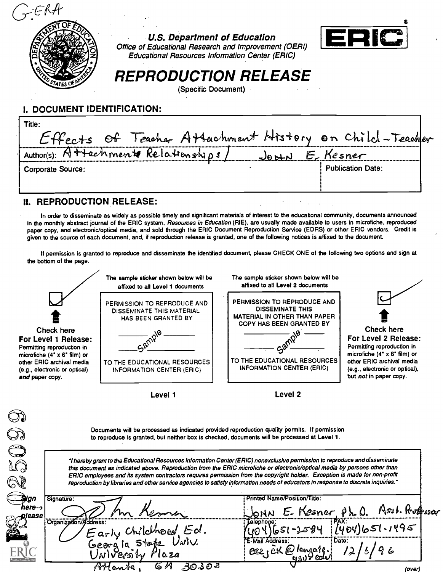

U.S. Department of Education



U.S. Department of Education<br>Office of Educational Research and Improvement (OERI) Educational Resources Information Center (ERIC)

# REPRODUCTION RELEASE

(Specific Document)

# I. DOCUMENT IDENTIFICATION:

| Title:                                  |                                                        |  |
|-----------------------------------------|--------------------------------------------------------|--|
|                                         | Effects of Teacher Attachment History on Child-Teacher |  |
| Author(s): $A$ ++achmente Relationships | E. Kesner                                              |  |
| <b>Corporate Source:</b>                | <b>Publication Date:</b>                               |  |
|                                         |                                                        |  |
|                                         |                                                        |  |

## II. REPRODUCTION RELEASE:

€

In order to disseminate as widely as possible timely and significant materials of interest to the educational community, documents announced in the monthly abstract journal of the ERIC system, Resources in Education (RIE), are usually made available to users in microfiche, reproduced paper copy, and electronic/optical media, and sold through the ERIC Document Reproduction Service (EDRS) or other ERIC vendors. Credit is given to the source of each document, and, if reproduction release is granted, one of the following notices is affixed to the document.

If permission is granted to reproduce and disseminate the identified document, please CHECK ONE of the following two options and sign at the bottom of the page.

|                                                                                                                                                                                            | The sample sticker shown below will be<br>affixed to all Level 1 documents                                                                                                                                                                                                                                                                                                                                                                                                                                                                                                                                                                                                                                                   | The sample sticker shown below will be<br>affixed to all Level 2 documents                                                                                                                    |                                                                                                                                                                                                  |
|--------------------------------------------------------------------------------------------------------------------------------------------------------------------------------------------|------------------------------------------------------------------------------------------------------------------------------------------------------------------------------------------------------------------------------------------------------------------------------------------------------------------------------------------------------------------------------------------------------------------------------------------------------------------------------------------------------------------------------------------------------------------------------------------------------------------------------------------------------------------------------------------------------------------------------|-----------------------------------------------------------------------------------------------------------------------------------------------------------------------------------------------|--------------------------------------------------------------------------------------------------------------------------------------------------------------------------------------------------|
| Check here<br>For Level 1 Release:<br>Permitting reproduction in<br>microfiche $(4^* \times 6^*$ film) or<br>other ERIC archival media<br>(e.g., electronic or optical)<br>and paper copy. | PERMISSION TO REPRODUCE AND<br><b>DISSEMINATE THIS MATERIAL</b><br>HAS BEEN GRANTED BY<br>TO THE EDUCATIONAL RESOURCES<br>INFORMATION CENTER (ERIC)                                                                                                                                                                                                                                                                                                                                                                                                                                                                                                                                                                          | PERMISSION TO REPRODUCE AND<br><b>DISSEMINATE THIS</b><br><b>MATERIAL IN OTHER THAN PAPER</b><br>COPY HAS BEEN GRANTED BY<br>TO THE EDUCATIONAL RESOURCES<br><b>INFORMATION CENTER (ERIC)</b> | Check here<br>For Level 2 Release:<br>Permitting reproduction in<br>microfiche $(4" \times 6"$ film) or<br>other ERIC archival media<br>(e.g., electronic or optical),<br>but not in paper copy. |
|                                                                                                                                                                                            | Level 1                                                                                                                                                                                                                                                                                                                                                                                                                                                                                                                                                                                                                                                                                                                      | Level 2                                                                                                                                                                                       |                                                                                                                                                                                                  |
|                                                                                                                                                                                            | Documents will be processed as indicated provided reproduction quality permits. If permission<br>to reproduce is granted, but neither box is checked, documents will be processed at Level 1.<br>"I hereby grant to the Educational Resources Information Center (ERIC) nonexclusive permission to reproduce and disseminate<br>this document as indicated above. Reproduction from the ERIC microfiche or electronic/optical media by persons other than<br>ERIC employees and its system contractors requires permission from the copyright holder. Exception is made for non-profit<br>reproduction by libraries and other service agencies to satisfy information needs of educators in response to discrete inquiries." |                                                                                                                                                                                               |                                                                                                                                                                                                  |
| Sugn<br>Signature:<br>here $\rightarrow$<br>please<br>Organization/Address:                                                                                                                | Early Childhood Ed.<br>Georgia Stope Univ.<br>University Plaza                                                                                                                                                                                                                                                                                                                                                                                                                                                                                                                                                                                                                                                               | Printed Name/Position/Title:<br>UNO<br>:elephone<br>Date:<br>ese, EK @ longate.                                                                                                               | E. Kesner, Ph.O. Asst. Professor<br>651-2584 (404)651.1495<br>$\lambda$                                                                                                                          |
|                                                                                                                                                                                            | <u> 3</u> ಲತಿ ಲತಿ<br>6 M<br>Houte                                                                                                                                                                                                                                                                                                                                                                                                                                                                                                                                                                                                                                                                                            |                                                                                                                                                                                               | (over)                                                                                                                                                                                           |